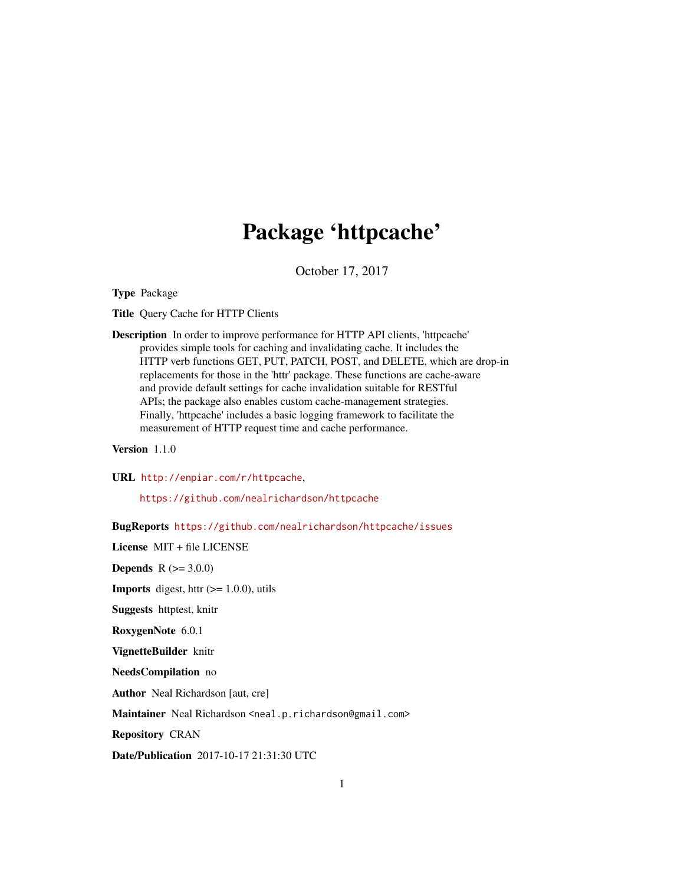## Package 'httpcache'

October 17, 2017

<span id="page-0-0"></span>Type Package

Title Query Cache for HTTP Clients

Description In order to improve performance for HTTP API clients, 'httpcache' provides simple tools for caching and invalidating cache. It includes the HTTP verb functions GET, PUT, PATCH, POST, and DELETE, which are drop-in replacements for those in the 'httr' package. These functions are cache-aware and provide default settings for cache invalidation suitable for RESTful APIs; the package also enables custom cache-management strategies. Finally, 'httpcache' includes a basic logging framework to facilitate the measurement of HTTP request time and cache performance.

Version 1.1.0

URL <http://enpiar.com/r/httpcache>,

<https://github.com/nealrichardson/httpcache>

BugReports <https://github.com/nealrichardson/httpcache/issues>

License MIT + file LICENSE

**Depends**  $R (= 3.0.0)$ 

**Imports** digest, httr  $(>= 1.0.0)$ , utils

Suggests httptest, knitr

RoxygenNote 6.0.1

VignetteBuilder knitr

NeedsCompilation no

Author Neal Richardson [aut, cre]

Maintainer Neal Richardson <neal.p.richardson@gmail.com>

Repository CRAN

Date/Publication 2017-10-17 21:31:30 UTC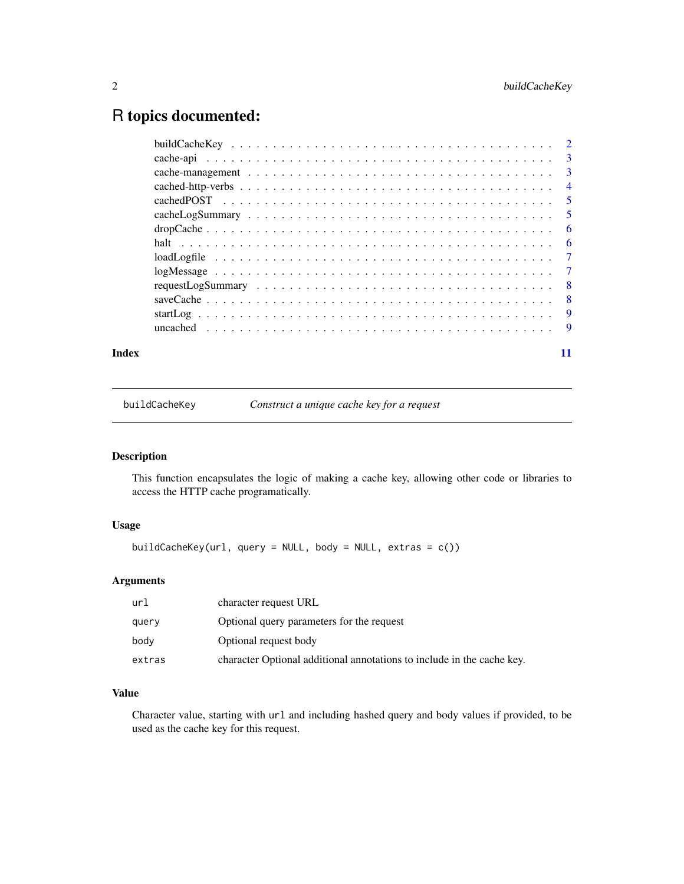## <span id="page-1-0"></span>R topics documented:

| Index |  |
|-------|--|

buildCacheKey *Construct a unique cache key for a request*

#### Description

This function encapsulates the logic of making a cache key, allowing other code or libraries to access the HTTP cache programatically.

#### Usage

buildCacheKey(url, query = NULL, body = NULL, extras = c())

#### Arguments

| url    | character request URL                                                  |
|--------|------------------------------------------------------------------------|
| query  | Optional query parameters for the request                              |
| bodv   | Optional request body                                                  |
| extras | character Optional additional annotations to include in the cache key. |
|        |                                                                        |

#### Value

Character value, starting with url and including hashed query and body values if provided, to be used as the cache key for this request.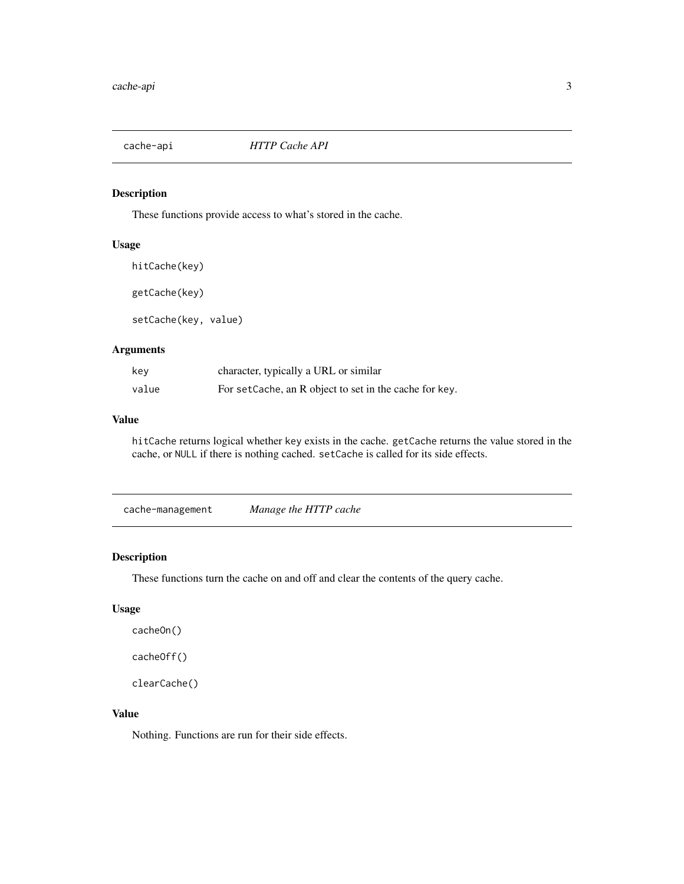<span id="page-2-0"></span>

These functions provide access to what's stored in the cache.

#### Usage

hitCache(key)

getCache(key)

setCache(key, value)

#### Arguments

| kev   | character, typically a URL or similar                  |
|-------|--------------------------------------------------------|
| value | For setCache, an R object to set in the cache for key. |

#### Value

hitCache returns logical whether key exists in the cache. getCache returns the value stored in the cache, or NULL if there is nothing cached. setCache is called for its side effects.

cache-management *Manage the HTTP cache*

#### Description

These functions turn the cache on and off and clear the contents of the query cache.

#### Usage

cacheOn() cacheOff() clearCache()

#### Value

Nothing. Functions are run for their side effects.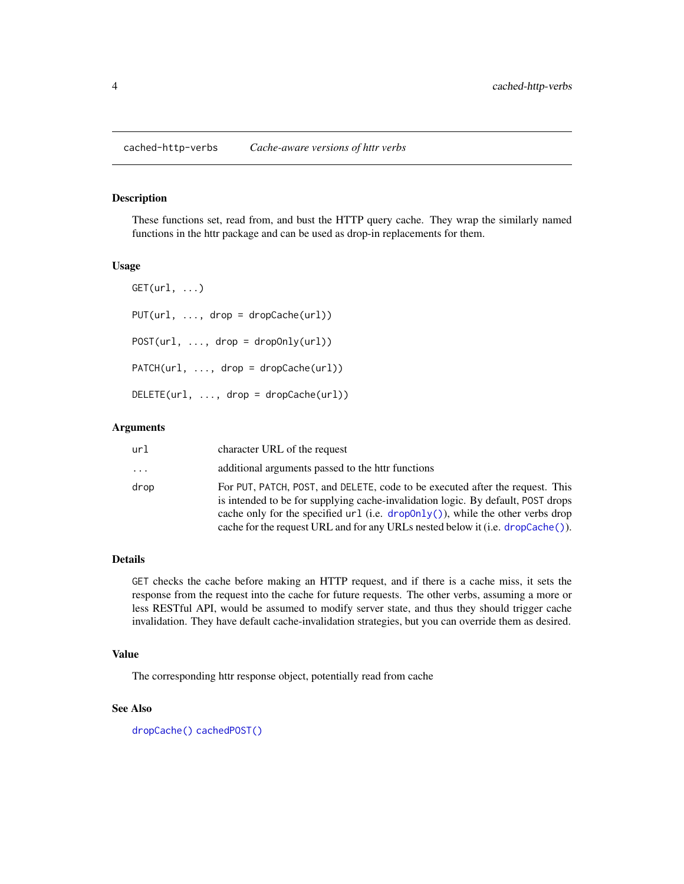<span id="page-3-0"></span>cached-http-verbs *Cache-aware versions of httr verbs*

#### Description

These functions set, read from, and bust the HTTP query cache. They wrap the similarly named functions in the httr package and can be used as drop-in replacements for them.

#### Usage

 $GET(url, ...)$  $PUT(url, ..., drop = dropCache(url))$ POST(url, ..., drop = dropOnly(url)) PATCH(url, ..., drop = dropCache(url)) DELETE(url, ..., drop = dropCache(url))

#### Arguments

| url      | character URL of the request                                                                                                                                                                                                                                                                                                             |
|----------|------------------------------------------------------------------------------------------------------------------------------------------------------------------------------------------------------------------------------------------------------------------------------------------------------------------------------------------|
| $\ddots$ | additional arguments passed to the httr functions                                                                                                                                                                                                                                                                                        |
| drop     | For PUT, PATCH, POST, and DELETE, code to be executed after the request. This<br>is intended to be for supplying cache-invalidation logic. By default, POST drops<br>cache only for the specified url (i.e. $dropOnly()$ ), while the other verbs drop<br>cache for the request URL and for any URLs nested below it (i.e. dropCache()). |

#### Details

GET checks the cache before making an HTTP request, and if there is a cache miss, it sets the response from the request into the cache for future requests. The other verbs, assuming a more or less RESTful API, would be assumed to modify server state, and thus they should trigger cache invalidation. They have default cache-invalidation strategies, but you can override them as desired.

#### Value

The corresponding httr response object, potentially read from cache

#### See Also

[dropCache\(\)](#page-5-2) [cachedPOST\(\)](#page-4-1)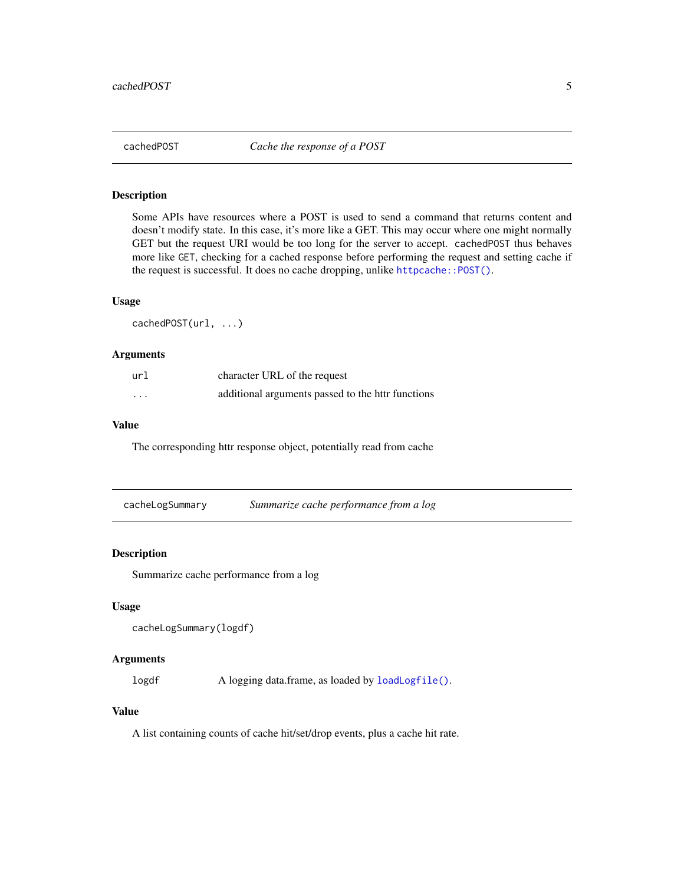<span id="page-4-1"></span><span id="page-4-0"></span>

Some APIs have resources where a POST is used to send a command that returns content and doesn't modify state. In this case, it's more like a GET. This may occur where one might normally GET but the request URI would be too long for the server to accept. cachedPOST thus behaves more like GET, checking for a cached response before performing the request and setting cache if the request is successful. It does no cache dropping, unlike httpcache:: POST().

#### Usage

cachedPOST(url, ...)

#### Arguments

| url      | character URL of the request                      |
|----------|---------------------------------------------------|
| $\cdots$ | additional arguments passed to the httr functions |

#### Value

The corresponding httr response object, potentially read from cache

| cacheLogSummary | Summarize cache performance from a log |  |
|-----------------|----------------------------------------|--|

#### Description

Summarize cache performance from a log

#### Usage

```
cacheLogSummary(logdf)
```
#### Arguments

logdf A logging data.frame, as loaded by [loadLogfile\(\)](#page-6-1).

#### Value

A list containing counts of cache hit/set/drop events, plus a cache hit rate.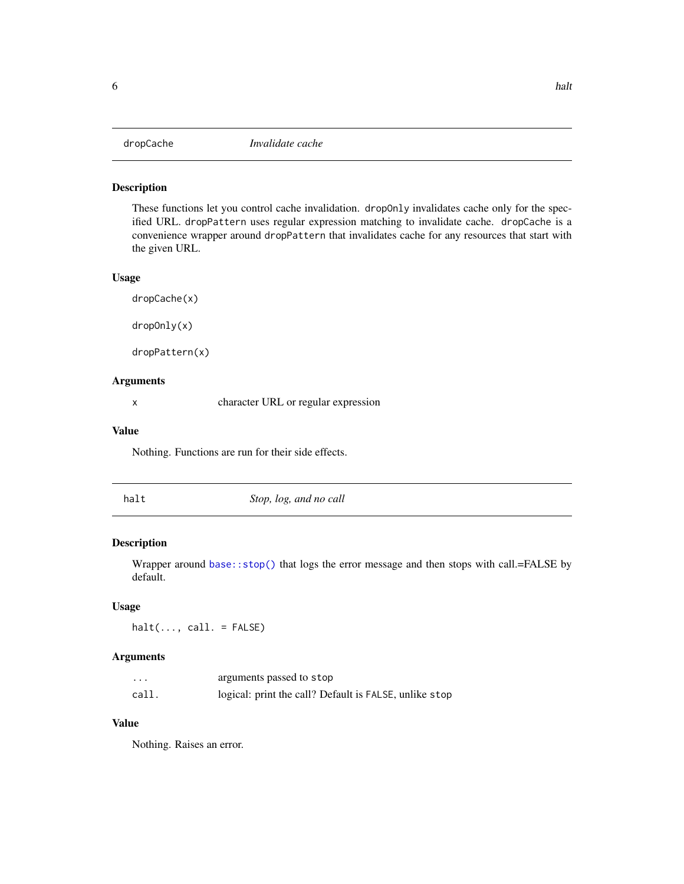<span id="page-5-2"></span><span id="page-5-1"></span><span id="page-5-0"></span>

These functions let you control cache invalidation. dropOnly invalidates cache only for the specified URL. dropPattern uses regular expression matching to invalidate cache. dropCache is a convenience wrapper around dropPattern that invalidates cache for any resources that start with the given URL.

#### Usage

dropCache(x) dropOnly(x)

dropPattern(x)

Arguments

x character URL or regular expression

#### Value

Nothing. Functions are run for their side effects.

<span id="page-5-3"></span>

halt *Stop, log, and no call*

#### Description

Wrapper around [base::stop\(\)](#page-0-0) that logs the error message and then stops with call.=FALSE by default.

#### Usage

 $halt(..., call. = FALSE)$ 

#### Arguments

| $\cdots$ | arguments passed to stop                               |
|----------|--------------------------------------------------------|
| call.    | logical: print the call? Default is FALSE, unlike stop |

#### Value

Nothing. Raises an error.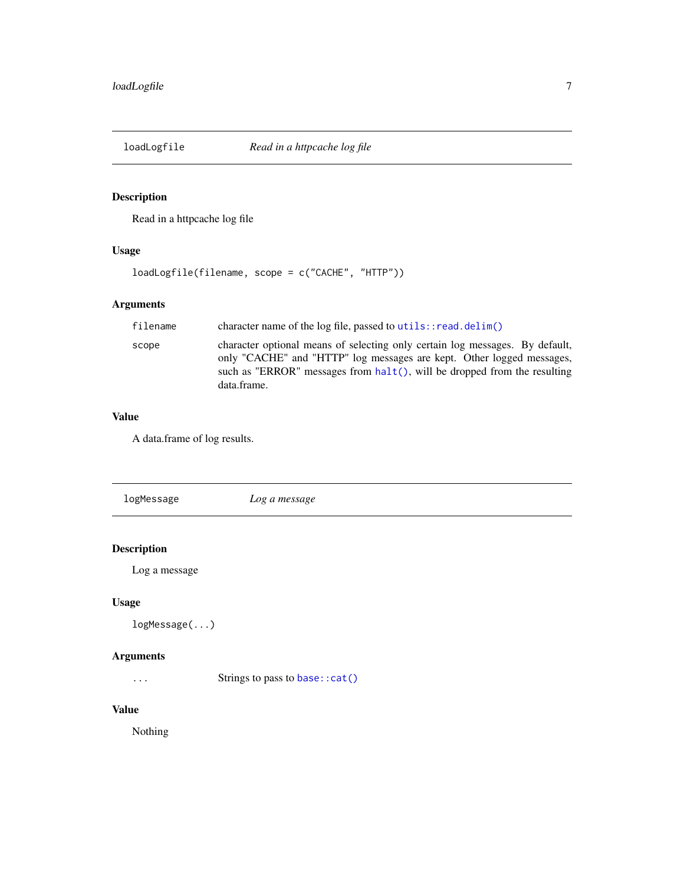<span id="page-6-1"></span><span id="page-6-0"></span>

Read in a httpcache log file

#### Usage

loadLogfile(filename, scope = c("CACHE", "HTTP"))

#### Arguments

| filename | character name of the log file, passed to $utils::read.delim()$                                                                                                                                                                                     |
|----------|-----------------------------------------------------------------------------------------------------------------------------------------------------------------------------------------------------------------------------------------------------|
| scope    | character optional means of selecting only certain log messages. By default,<br>only "CACHE" and "HTTP" log messages are kept. Other logged messages,<br>such as "ERROR" messages from $halt()$ , will be dropped from the resulting<br>data.frame. |

#### Value

A data.frame of log results.

| logMessage | Log a message |  |
|------------|---------------|--|
|            |               |  |

### Description

Log a message

#### Usage

logMessage(...)

#### Arguments

... Strings to pass to [base::cat\(\)](#page-0-0)

#### Value

Nothing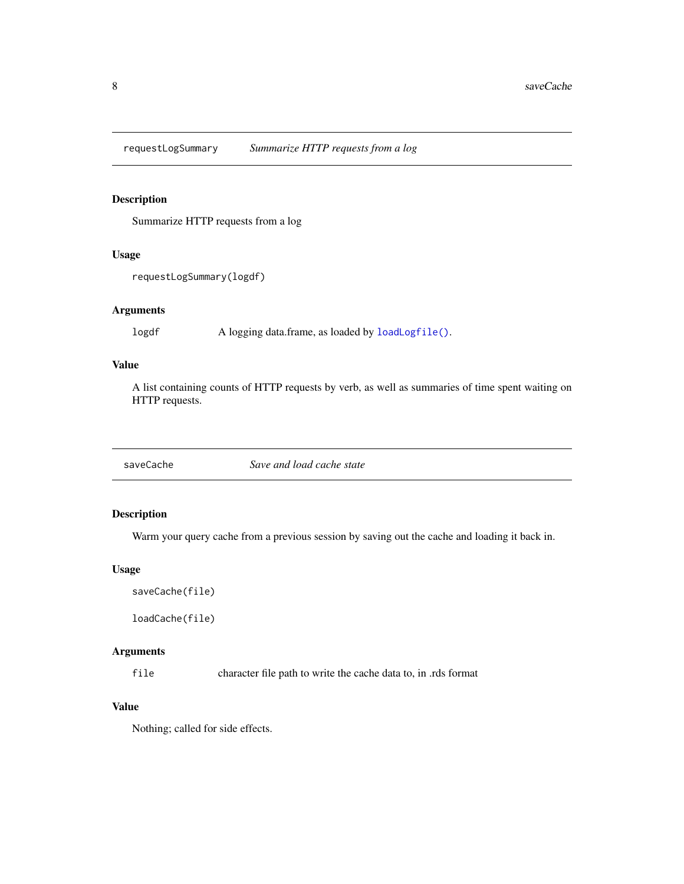<span id="page-7-0"></span>requestLogSummary *Summarize HTTP requests from a log*

#### Description

Summarize HTTP requests from a log

#### Usage

requestLogSummary(logdf)

#### Arguments

logdf A logging data.frame, as loaded by [loadLogfile\(\)](#page-6-1).

#### Value

A list containing counts of HTTP requests by verb, as well as summaries of time spent waiting on HTTP requests.

saveCache *Save and load cache state*

#### Description

Warm your query cache from a previous session by saving out the cache and loading it back in.

#### Usage

saveCache(file)

loadCache(file)

#### Arguments

file character file path to write the cache data to, in .rds format

#### Value

Nothing; called for side effects.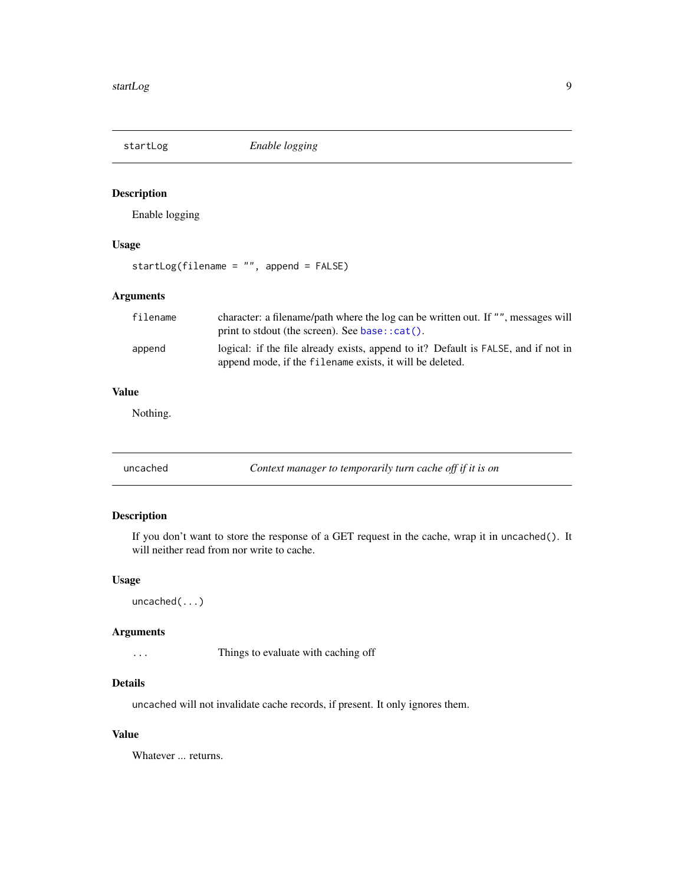<span id="page-8-0"></span>

Enable logging

#### Usage

startLog(filename = "", append = FALSE)

#### Arguments

| filename | character: a filename/path where the log can be written out. If "", messages will<br>print to stdout (the screen). See base: $cat()$ .         |
|----------|------------------------------------------------------------------------------------------------------------------------------------------------|
| append   | logical: if the file already exists, append to it? Default is FALSE, and if not in<br>append mode, if the filename exists, it will be deleted. |

#### Value

Nothing.

| uncached | Context manager to temporarily turn cache off if it is on |  |
|----------|-----------------------------------------------------------|--|
|----------|-----------------------------------------------------------|--|

#### Description

If you don't want to store the response of a GET request in the cache, wrap it in uncached(). It will neither read from nor write to cache.

#### Usage

uncached(...)

#### Arguments

... Things to evaluate with caching off

#### Details

uncached will not invalidate cache records, if present. It only ignores them.

#### Value

Whatever ... returns.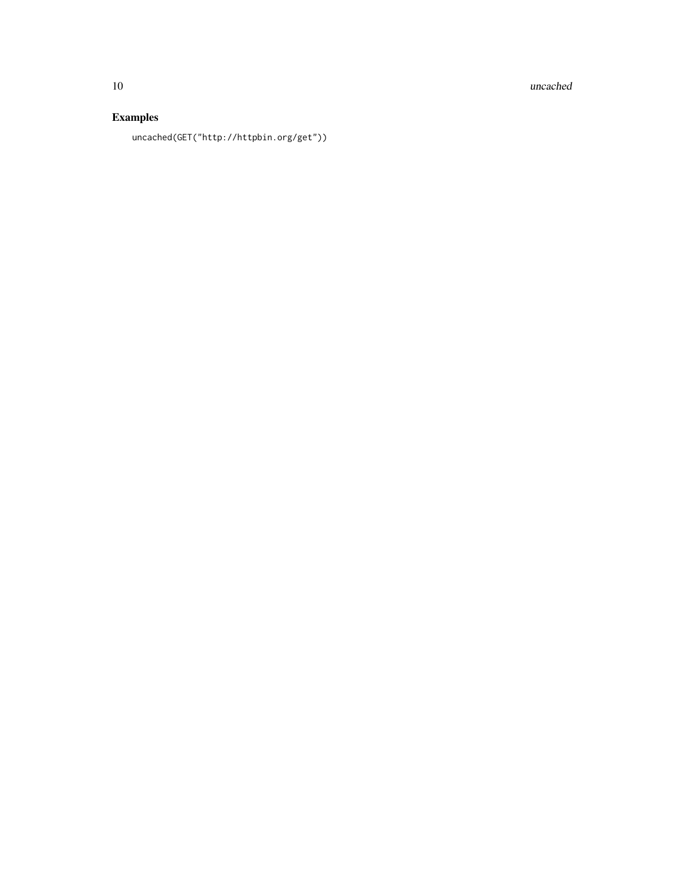10 uncached

### Examples

uncached(GET("http://httpbin.org/get"))